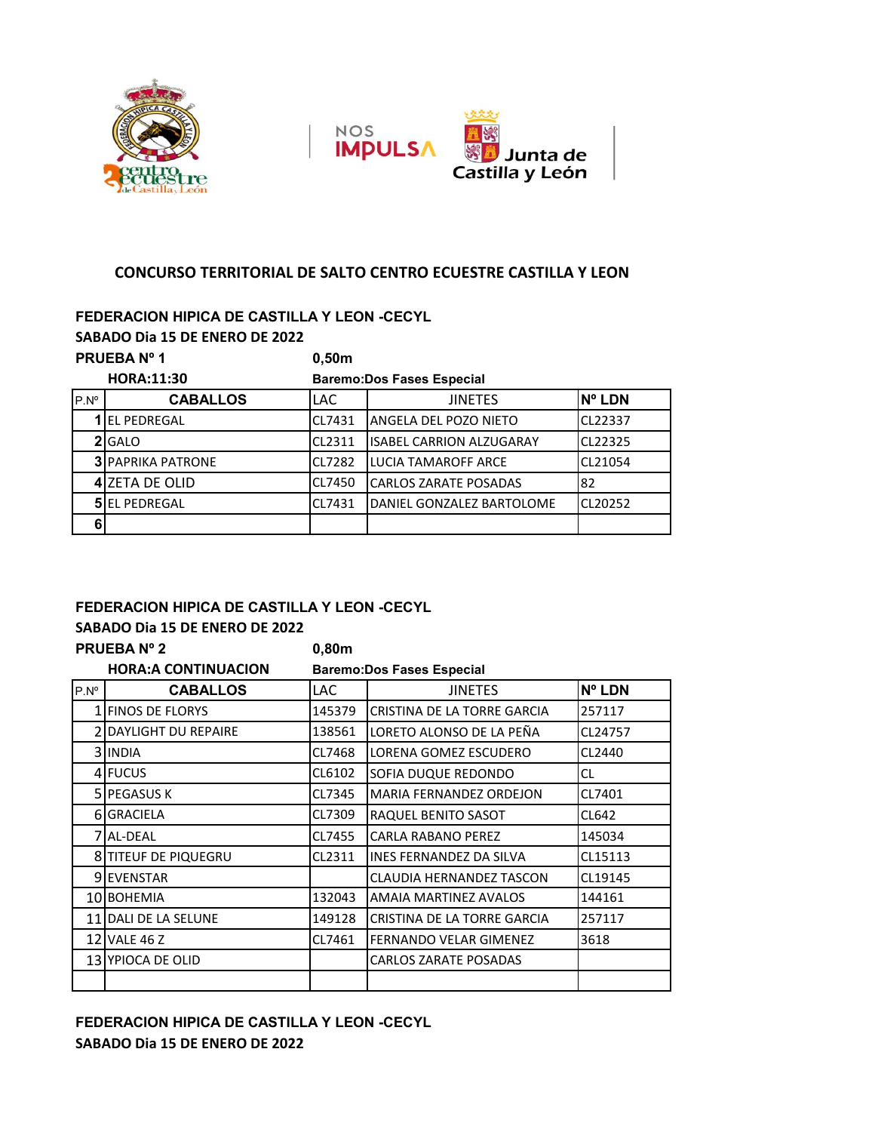



#### **CONCURSO TERRITORIAL DE SALTO CENTRO ECUESTRE CASTILLA Y LEON**

## **FEDERACION HIPICA DE CASTILLA Y LEON -CECYL**

**SABADO Dia 15 DE ENERO DE 2022**

## **PRUEBA Nº 1 0,50m**

|               | <b>HORA:11:30</b>         |            | <b>Baremo:Dos Fases Especial</b> |               |  |  |
|---------------|---------------------------|------------|----------------------------------|---------------|--|--|
| $P.N^{\circ}$ | <b>CABALLOS</b>           | <b>LAC</b> | <b>JINETES</b>                   | <b>N° LDN</b> |  |  |
|               | <b>1 IEL PEDREGAL</b>     | CL7431     | ANGELA DEL POZO NIETO            | CL22337       |  |  |
|               | <b>2I</b> GALO            | CL2311     | <b>IISABEL CARRION ALZUGARAY</b> | CL22325       |  |  |
|               | <b>3I PAPRIKA PATRONE</b> | CL7282     | LUCIA TAMAROFF ARCE              | CL21054       |  |  |
|               | 4 ZETA DE OLID            | CL7450     | <b>CARLOS ZARATE POSADAS</b>     | 82            |  |  |
|               | <b>5</b> EL PEDREGAL      | CL7431     | DANIEL GONZALEZ BARTOLOME        | CL20252       |  |  |
|               |                           |            |                                  |               |  |  |

#### **FEDERACION HIPICA DE CASTILLA Y LEON -CECYL**

|               | SABADO Dia 15 DE ENERO DE 2022 |                                  |                                 |           |  |  |  |
|---------------|--------------------------------|----------------------------------|---------------------------------|-----------|--|--|--|
|               | <b>PRUEBA Nº 2</b>             | 0,80m                            |                                 |           |  |  |  |
|               | <b>HORA:A CONTINUACION</b>     | <b>Baremo:Dos Fases Especial</b> |                                 |           |  |  |  |
| $P.N^{\circ}$ | <b>CABALLOS</b>                | LAC.                             | <b>JINETES</b>                  | Nº LDN    |  |  |  |
|               | 1 FINOS DE FLORYS              | 145379                           | CRISTINA DE LA TORRE GARCIA     | 257117    |  |  |  |
|               | 2 DAYLIGHT DU REPAIRE          | 138561                           | LORETO ALONSO DE LA PEÑA        | CL24757   |  |  |  |
|               | 3 INDIA                        | CL7468                           | LORENA GOMEZ ESCUDERO           | CL2440    |  |  |  |
|               | 4 FUCUS                        | CL6102                           | SOFIA DUQUE REDONDO             | <b>CL</b> |  |  |  |
|               | <b>5 IPEGASUS K</b>            | CL7345                           | <b>MARIA FERNANDEZ ORDEJON</b>  | CL7401    |  |  |  |
|               | 6 GRACIELA                     | CL7309                           | RAQUEL BENITO SASOT             | CL642     |  |  |  |
|               | 7 AL-DEAL                      | CL7455                           | <b>CARLA RABANO PEREZ</b>       | 145034    |  |  |  |
|               | 8 TITEUF DE PIQUEGRU           | CL2311                           | <b>INES FERNANDEZ DA SILVA</b>  | CL15113   |  |  |  |
|               | 9 EVENSTAR                     |                                  | <b>CLAUDIA HERNANDEZ TASCON</b> | CL19145   |  |  |  |
|               | 10 BOHEMIA                     | 132043                           | AMAIA MARTINEZ AVALOS           | 144161    |  |  |  |
|               | 11 DALI DE LA SELUNE           | 149128                           | CRISTINA DE LA TORRE GARCIA     | 257117    |  |  |  |
|               | 12 VALE 46 Z                   | CL7461                           | FERNANDO VELAR GIMENEZ          | 3618      |  |  |  |
|               | 13 YPIOCA DE OLID              |                                  | <b>CARLOS ZARATE POSADAS</b>    |           |  |  |  |
|               |                                |                                  |                                 |           |  |  |  |

### **FEDERACION HIPICA DE CASTILLA Y LEON -CECYL SABADO Dia 15 DE ENERO DE 2022**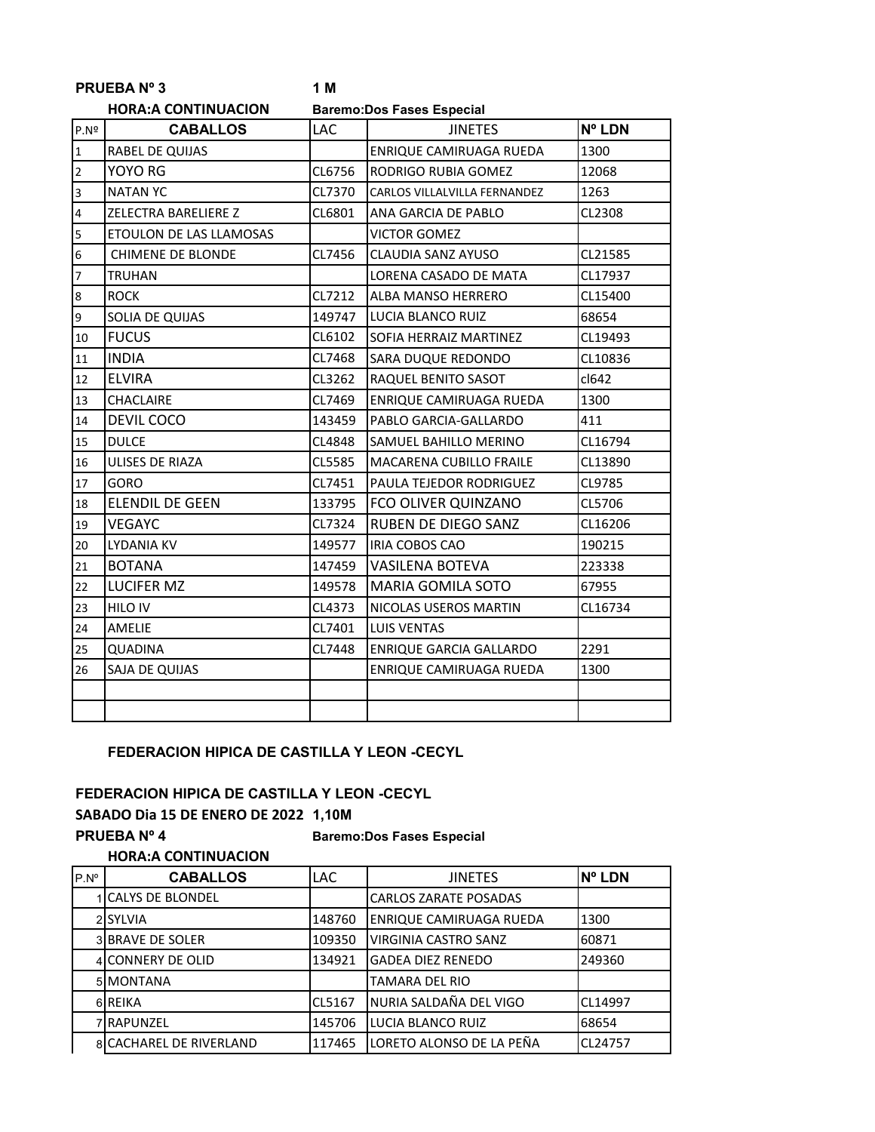|                | <b>PRUEBANº3</b>           | 1 M    |                                  |         |
|----------------|----------------------------|--------|----------------------------------|---------|
|                | <b>HORA:A CONTINUACION</b> |        | <b>Baremo:Dos Fases Especial</b> |         |
| P.Nº           | <b>CABALLOS</b>            | LAC    | <b>JINETES</b>                   | Nº LDN  |
| $\mathbf{1}$   | RABEL DE QUIJAS            |        | <b>ENRIQUE CAMIRUAGA RUEDA</b>   | 1300    |
| $\overline{2}$ | YOYO RG                    | CL6756 | RODRIGO RUBIA GOMEZ              | 12068   |
| 3              | <b>NATAN YC</b>            | CL7370 | CARLOS VILLALVILLA FERNANDEZ     | 1263    |
| 4              | ZELECTRA BARELIERE Z       | CL6801 | ANA GARCIA DE PABLO              | CL2308  |
| 5              | ETOULON DE LAS LLAMOSAS    |        | <b>VICTOR GOMEZ</b>              |         |
| 6              | <b>CHIMENE DE BLONDE</b>   | CL7456 | CLAUDIA SANZ AYUSO               | CL21585 |
| $\overline{7}$ | <b>TRUHAN</b>              |        | LORENA CASADO DE MATA            | CL17937 |
| 8              | <b>ROCK</b>                | CL7212 | <b>ALBA MANSO HERRERO</b>        | CL15400 |
| 9              | SOLIA DE QUIJAS            | 149747 | LUCIA BLANCO RUIZ                | 68654   |
| 10             | <b>FUCUS</b>               | CL6102 | SOFIA HERRAIZ MARTINEZ           | CL19493 |
| 11             | <b>INDIA</b>               | CL7468 | SARA DUQUE REDONDO               | CL10836 |
| 12             | <b>ELVIRA</b>              | CL3262 | RAQUEL BENITO SASOT              | cl642   |
| 13             | <b>CHACLAIRE</b>           | CL7469 | ENRIQUE CAMIRUAGA RUEDA          | 1300    |
| 14             | <b>DEVIL COCO</b>          | 143459 | PABLO GARCIA-GALLARDO            | 411     |
| 15             | <b>DULCE</b>               | CL4848 | SAMUEL BAHILLO MERINO            | CL16794 |
| 16             | ULISES DE RIAZA            | CL5585 | <b>MACARENA CUBILLO FRAILE</b>   | CL13890 |
| 17             | GORO                       | CL7451 | PAULA TEJEDOR RODRIGUEZ          | CL9785  |
| 18             | <b>ELENDIL DE GEEN</b>     | 133795 | FCO OLIVER QUINZANO              | CL5706  |
| 19             | <b>VEGAYC</b>              | CL7324 | RUBEN DE DIEGO SANZ              | CL16206 |
| 20             | LYDANIA KV                 | 149577 | IRIA COBOS CAO                   | 190215  |
| 21             | <b>BOTANA</b>              | 147459 | <b>VASILENA BOTEVA</b>           | 223338  |
| 22             | <b>LUCIFER MZ</b>          | 149578 | <b>MARIA GOMILA SOTO</b>         | 67955   |
| 23             | <b>HILO IV</b>             | CL4373 | NICOLAS USEROS MARTIN            | CL16734 |
| 24             | AMELIE                     | CL7401 | <b>LUIS VENTAS</b>               |         |
| 25             | <b>QUADINA</b>             | CL7448 | <b>ENRIQUE GARCIA GALLARDO</b>   | 2291    |
| 26             | SAJA DE QUIJAS             |        | ENRIQUE CAMIRUAGA RUEDA          | 1300    |
|                |                            |        |                                  |         |
|                |                            |        |                                  |         |

#### **FEDERACION HIPICA DE CASTILLA Y LEON -CECYL**

#### **FEDERACION HIPICA DE CASTILLA Y LEON -CECYL**

**SABADO Dia 15 DE ENERO DE 2022 1,10M**

**PRUEBA Nº 4 Baremo:Dos Fases Especial**

#### **HORA:A CONTINUACION**

| $P.N^{\circ}$ | <b>CABALLOS</b>                | LAC.   | <b>JINETES</b>                 | <b>N° LDN</b>  |
|---------------|--------------------------------|--------|--------------------------------|----------------|
|               | <b>CALYS DE BLONDEL</b>        |        | <b>CARLOS ZARATE POSADAS</b>   |                |
|               | 2 SYLVIA                       | 148760 | <b>ENRIQUE CAMIRUAGA RUEDA</b> | 1300           |
|               | 3 BRAVE DE SOLER               | 109350 | <b>VIRGINIA CASTRO SANZ</b>    | 60871          |
|               | 4 CONNERY DE OLID              | 134921 | <b>GADEA DIEZ RENEDO</b>       | 249360         |
|               | 5 MONTANA                      |        | <b>TAMARA DEL RIO</b>          |                |
|               | 6 REIKA                        | CL5167 | NURIA SALDAÑA DEL VIGO         | CL14997        |
|               | 7 RAPUNZEL                     | 145706 | LUCIA BLANCO RUIZ              | 68654          |
|               | <b>8ICACHAREL DE RIVERLAND</b> | 117465 | LORETO ALONSO DE LA PEÑA       | <b>CL24757</b> |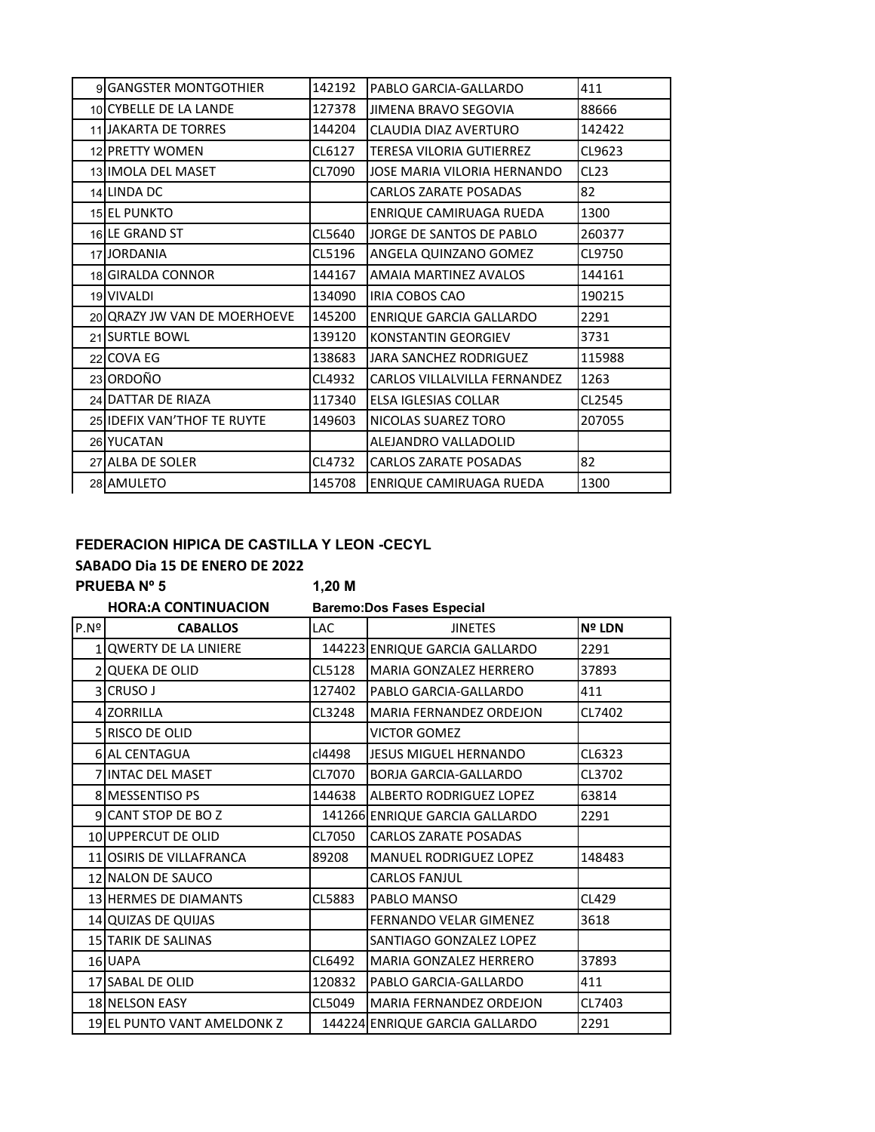| 9 GANGSTER MONTGOTHIER       | 142192 | PABLO GARCIA-GALLARDO        | 411    |
|------------------------------|--------|------------------------------|--------|
| 10 CYBELLE DE LA LANDE       | 127378 | JIMENA BRAVO SEGOVIA         | 88666  |
| 11 JAKARTA DE TORRES         | 144204 | CLAUDIA DIAZ AVERTURO        | 142422 |
| 12 PRETTY WOMEN              | CL6127 | TERESA VILORIA GUTIERREZ     | CL9623 |
| 13 IMOLA DEL MASET           | CL7090 | JOSE MARIA VILORIA HERNANDO  | CL23   |
| 14 LINDA DC                  |        | <b>CARLOS ZARATE POSADAS</b> | 82     |
| <b>15 EL PUNKTO</b>          |        | ENRIQUE CAMIRUAGA RUEDA      | 1300   |
| 16LE GRAND ST                | CL5640 | JORGE DE SANTOS DE PABLO     | 260377 |
| 17 JORDANIA                  | CL5196 | ANGELA QUINZANO GOMEZ        | CL9750 |
| 18 GIRALDA CONNOR            | 144167 | AMAIA MARTINEZ AVALOS        | 144161 |
| 19 VIVALDI                   | 134090 | <b>IRIA COBOS CAO</b>        | 190215 |
| 20 QRAZY JW VAN DE MOERHOEVE | 145200 | ENRIQUE GARCIA GALLARDO      | 2291   |
| 21 SURTLE BOWL               | 139120 | KONSTANTIN GEORGIEV          | 3731   |
| 22 COVA EG                   | 138683 | JARA SANCHEZ RODRIGUEZ       | 115988 |
| 23 ORDOÑO                    | CL4932 | CARLOS VILLALVILLA FERNANDEZ | 1263   |
| 24 DATTAR DE RIAZA           | 117340 | <b>ELSA IGLESIAS COLLAR</b>  | CL2545 |
| 25 IDEFIX VAN'THOF TE RUYTE  | 149603 | NICOLAS SUAREZ TORO          | 207055 |
| 26 YUCATAN                   |        | ALEJANDRO VALLADOLID         |        |
| 27 ALBA DE SOLER             | CL4732 | <b>CARLOS ZARATE POSADAS</b> | 82     |
| 28 AMULETO                   | 145708 | ENRIQUE CAMIRUAGA RUEDA      | 1300   |
|                              |        |                              |        |

#### **FEDERACION HIPICA DE CASTILLA Y LEON -CECYL**

# **SABADO Dia 15 DE ENERO DE 2022**

**PRUEBA Nº 5 1,20 M**

|                          | <b>HORA:A CONTINUACION</b>  |            | <b>Baremo:Dos Fases Especial</b> |        |
|--------------------------|-----------------------------|------------|----------------------------------|--------|
| P.Nº                     | <b>CABALLOS</b>             | <b>LAC</b> | <b>JINETES</b>                   | Nº LDN |
| $\mathbf{1}$             | QWERTY DE LA LINIERE        |            | 144223 ENRIQUE GARCIA GALLARDO   | 2291   |
| $\overline{\mathcal{L}}$ | <b>QUEKA DE OLID</b>        | CL5128     | <b>MARIA GONZALEZ HERRERO</b>    | 37893  |
|                          | 3 CRUSO J                   | 127402     | PABLO GARCIA-GALLARDO            | 411    |
|                          | 4 ZORRILLA                  | CL3248     | <b>MARIA FERNANDEZ ORDEJON</b>   | CL7402 |
|                          | 5 RISCO DE OLID             |            | <b>VICTOR GOMEZ</b>              |        |
|                          | 6 AL CENTAGUA               | cl4498     | <b>JESUS MIGUEL HERNANDO</b>     | CL6323 |
|                          | 7 INTAC DEL MASET           | CL7070     | <b>BORJA GARCIA-GALLARDO</b>     | CL3702 |
|                          | 8 MESSENTISO PS             | 144638     | <b>ALBERTO RODRIGUEZ LOPEZ</b>   | 63814  |
|                          | 9 CANT STOP DE BOZ          |            | 141266 ENRIQUE GARCIA GALLARDO   | 2291   |
|                          | 10 UPPERCUT DE OLID         | CL7050     | <b>CARLOS ZARATE POSADAS</b>     |        |
|                          | 11 OSIRIS DE VILLAFRANCA    | 89208      | MANUEL RODRIGUEZ LOPEZ           | 148483 |
|                          | 12 NALON DE SAUCO           |            | <b>CARLOS FANJUL</b>             |        |
|                          | 13 HERMES DE DIAMANTS       | CL5883     | PABLO MANSO                      | CL429  |
|                          | 14 QUIZAS DE QUIJAS         |            | <b>FERNANDO VELAR GIMENEZ</b>    | 3618   |
|                          | 15 TARIK DE SALINAS         |            | SANTIAGO GONZALEZ LOPEZ          |        |
|                          | 16 UAPA                     | CL6492     | <b>MARIA GONZALEZ HERRERO</b>    | 37893  |
|                          | 17 SABAL DE OLID            | 120832     | PABLO GARCIA-GALLARDO            | 411    |
|                          | 18 NELSON EASY              | CL5049     | <b>MARIA FERNANDEZ ORDEJON</b>   | CL7403 |
|                          | 19 EL PUNTO VANT AMELDONK Z |            | 144224 ENRIQUE GARCIA GALLARDO   | 2291   |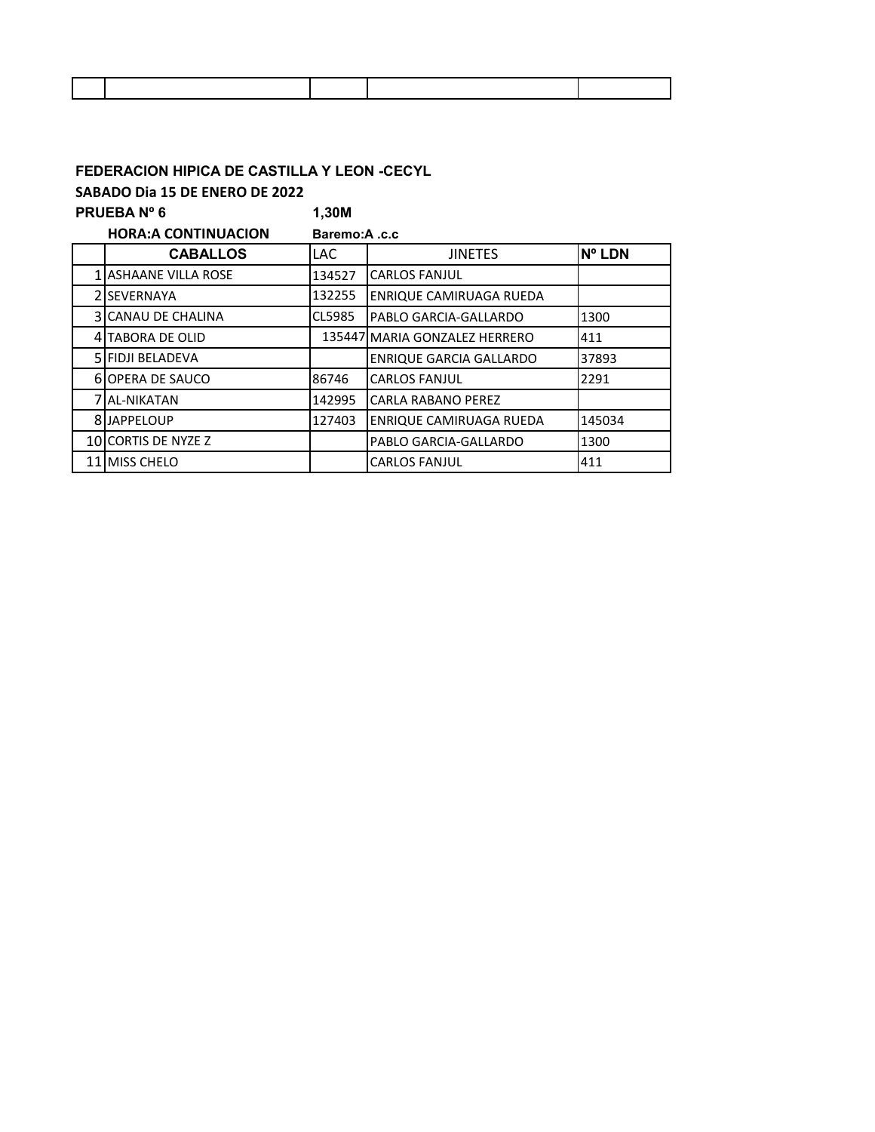# **FEDERACION HIPICA DE CASTILLA Y LEON -CECYL**

**SABADO Dia 15 DE ENERO DE 2022**

| PRUEBA Nº 6 |                             | 1,30M        |                                |               |  |  |
|-------------|-----------------------------|--------------|--------------------------------|---------------|--|--|
|             | <b>HORA:A CONTINUACION</b>  | Baremo:A.c.c |                                |               |  |  |
|             | <b>CABALLOS</b>             | LAC.         | <b>JINETES</b>                 | <b>N° LDN</b> |  |  |
|             | <b>1 ASHAANE VILLA ROSE</b> | 134527       | <b>CARLOS FANJUL</b>           |               |  |  |
|             | 2 ISEVERNAYA                | 132255       | ENRIQUE CAMIRUAGA RUEDA        |               |  |  |
|             | <b>3ICANAU DE CHALINA</b>   | CL5985       | PABLO GARCIA-GALLARDO          | 1300          |  |  |
| 4           | <b>TABORA DE OLID</b>       |              | 135447 MARIA GONZALEZ HERRERO  | 411           |  |  |
|             | <b>5 FIDJI BELADEVA</b>     |              | <b>ENRIQUE GARCIA GALLARDO</b> | 37893         |  |  |
|             | <b>6 OPERA DE SAUCO</b>     | 86746        | <b>CARLOS FANJUL</b>           | 2291          |  |  |
|             | 7 JAL-NIKATAN               | 142995       | <b>CARLA RABANO PEREZ</b>      |               |  |  |
|             | 8 JAPPELOUP                 | 127403       | ENRIQUE CAMIRUAGA RUEDA        | 145034        |  |  |
|             | 10 CORTIS DE NYZE Z         |              | PABLO GARCIA-GALLARDO          | 1300          |  |  |
|             | 11 MISS CHELO               |              | <b>CARLOS FANJUL</b>           | 411           |  |  |